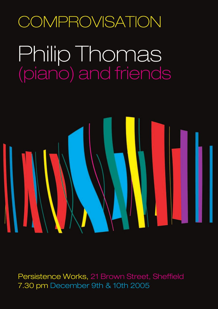### **COMPROVISATION**

## Philip Thomas (piano) and friends



Persistence Works, 21 Brown Street, Sheffield 7.30 pm December 9th & 10th 2005